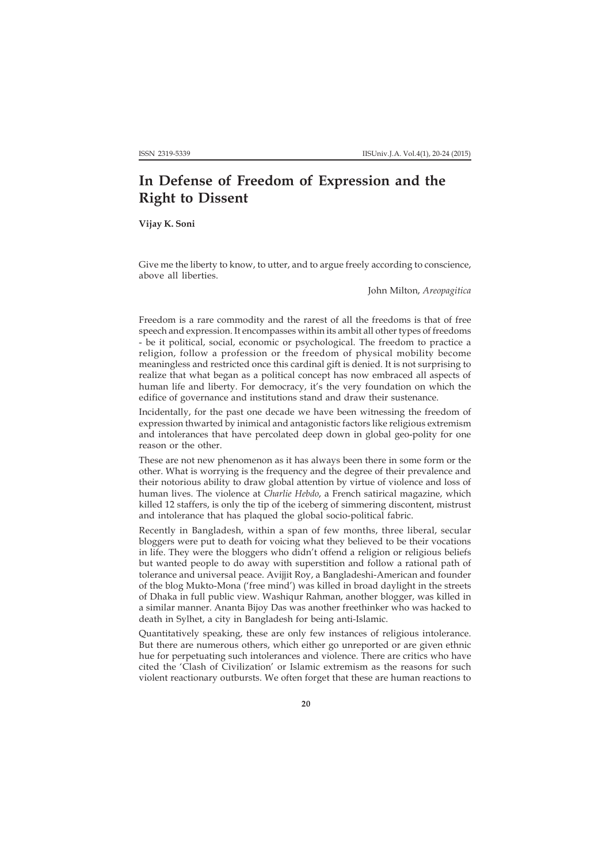## **In Defense of Freedom of Expression and the Right to Dissent**

**Vijay K. Soni**

Give me the liberty to know, to utter, and to argue freely according to conscience, above all liberties.

John Milton, *Areopagitica*

Freedom is a rare commodity and the rarest of all the freedoms is that of free speech and expression. It encompasses within its ambit all other types of freedoms - be it political, social, economic or psychological. The freedom to practice a religion, follow a profession or the freedom of physical mobility become meaningless and restricted once this cardinal gift is denied. It is not surprising to realize that what began as a political concept has now embraced all aspects of human life and liberty. For democracy, it's the very foundation on which the edifice of governance and institutions stand and draw their sustenance.

Incidentally, for the past one decade we have been witnessing the freedom of expression thwarted by inimical and antagonistic factors like religious extremism and intolerances that have percolated deep down in global geo-polity for one reason or the other.

These are not new phenomenon as it has always been there in some form or the other. What is worrying is the frequency and the degree of their prevalence and their notorious ability to draw global attention by virtue of violence and loss of human lives. The violence at *Charlie Hebdo*, a French satirical magazine, which killed 12 staffers, is only the tip of the iceberg of simmering discontent, mistrust and intolerance that has plaqued the global socio-political fabric.

Recently in Bangladesh, within a span of few months, three liberal, secular bloggers were put to death for voicing what they believed to be their vocations in life. They were the bloggers who didn't offend a religion or religious beliefs but wanted people to do away with superstition and follow a rational path of tolerance and universal peace. Avijjit Roy, a Bangladeshi-American and founder of the blog Mukto-Mona ('free mind') was killed in broad daylight in the streets of Dhaka in full public view. Washiqur Rahman, another blogger, was killed in a similar manner. Ananta Bijoy Das was another freethinker who was hacked to death in Sylhet, a city in Bangladesh for being anti-Islamic.

Quantitatively speaking, these are only few instances of religious intolerance. But there are numerous others, which either go unreported or are given ethnic hue for perpetuating such intolerances and violence. There are critics who have cited the 'Clash of Civilization' or Islamic extremism as the reasons for such violent reactionary outbursts. We often forget that these are human reactions to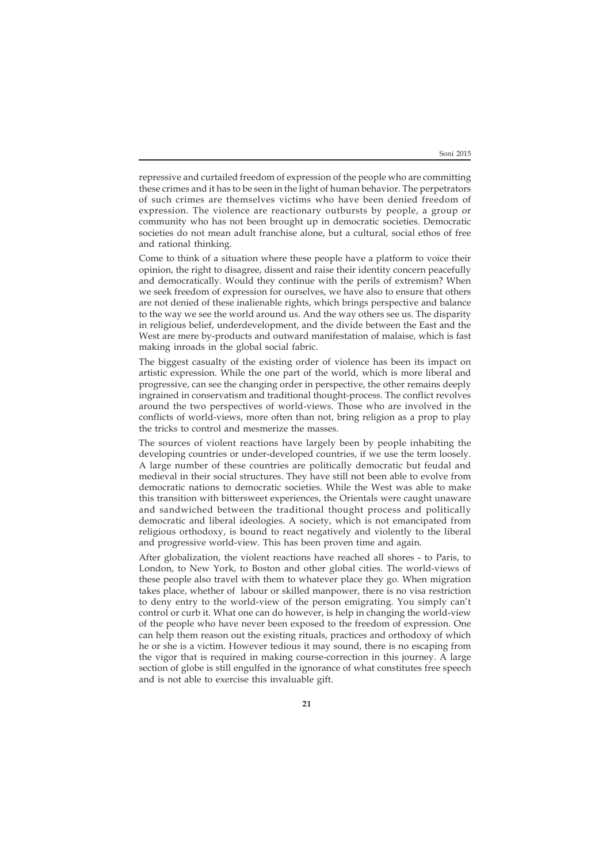repressive and curtailed freedom of expression of the people who are committing these crimes and it has to be seen in the light of human behavior. The perpetrators of such crimes are themselves victims who have been denied freedom of expression. The violence are reactionary outbursts by people, a group or community who has not been brought up in democratic societies. Democratic societies do not mean adult franchise alone, but a cultural, social ethos of free and rational thinking.

Come to think of a situation where these people have a platform to voice their opinion, the right to disagree, dissent and raise their identity concern peacefully and democratically. Would they continue with the perils of extremism? When we seek freedom of expression for ourselves, we have also to ensure that others are not denied of these inalienable rights, which brings perspective and balance to the way we see the world around us. And the way others see us. The disparity in religious belief, underdevelopment, and the divide between the East and the West are mere by-products and outward manifestation of malaise, which is fast making inroads in the global social fabric.

The biggest casualty of the existing order of violence has been its impact on artistic expression. While the one part of the world, which is more liberal and progressive, can see the changing order in perspective, the other remains deeply ingrained in conservatism and traditional thought-process. The conflict revolves around the two perspectives of world-views. Those who are involved in the conflicts of world-views, more often than not, bring religion as a prop to play the tricks to control and mesmerize the masses.

The sources of violent reactions have largely been by people inhabiting the developing countries or under-developed countries, if we use the term loosely. A large number of these countries are politically democratic but feudal and medieval in their social structures. They have still not been able to evolve from democratic nations to democratic societies. While the West was able to make this transition with bittersweet experiences, the Orientals were caught unaware and sandwiched between the traditional thought process and politically democratic and liberal ideologies. A society, which is not emancipated from religious orthodoxy, is bound to react negatively and violently to the liberal and progressive world-view. This has been proven time and again.

After globalization, the violent reactions have reached all shores - to Paris, to London, to New York, to Boston and other global cities. The world-views of these people also travel with them to whatever place they go. When migration takes place, whether of labour or skilled manpower, there is no visa restriction to deny entry to the world-view of the person emigrating. You simply can't control or curb it. What one can do however, is help in changing the world-view of the people who have never been exposed to the freedom of expression. One can help them reason out the existing rituals, practices and orthodoxy of which he or she is a victim. However tedious it may sound, there is no escaping from the vigor that is required in making course-correction in this journey. A large section of globe is still engulfed in the ignorance of what constitutes free speech and is not able to exercise this invaluable gift.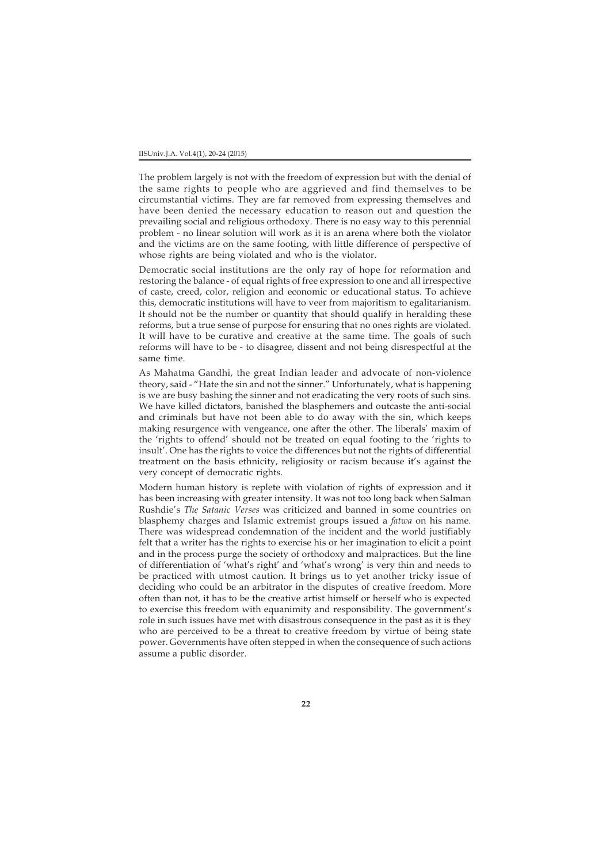## IISUniv.J.A. Vol.4(1), 20-24 (2015)

The problem largely is not with the freedom of expression but with the denial of the same rights to people who are aggrieved and find themselves to be circumstantial victims. They are far removed from expressing themselves and have been denied the necessary education to reason out and question the prevailing social and religious orthodoxy. There is no easy way to this perennial problem - no linear solution will work as it is an arena where both the violator and the victims are on the same footing, with little difference of perspective of whose rights are being violated and who is the violator.

Democratic social institutions are the only ray of hope for reformation and restoring the balance - of equal rights of free expression to one and all irrespective of caste, creed, color, religion and economic or educational status. To achieve this, democratic institutions will have to veer from majoritism to egalitarianism. It should not be the number or quantity that should qualify in heralding these reforms, but a true sense of purpose for ensuring that no ones rights are violated. It will have to be curative and creative at the same time. The goals of such reforms will have to be - to disagree, dissent and not being disrespectful at the same time.

As Mahatma Gandhi, the great Indian leader and advocate of non-violence theory, said - "Hate the sin and not the sinner." Unfortunately, what is happening is we are busy bashing the sinner and not eradicating the very roots of such sins. We have killed dictators, banished the blasphemers and outcaste the anti-social and criminals but have not been able to do away with the sin, which keeps making resurgence with vengeance, one after the other. The liberals' maxim of the 'rights to offend' should not be treated on equal footing to the 'rights to insult'. One has the rights to voice the differences but not the rights of differential treatment on the basis ethnicity, religiosity or racism because it's against the very concept of democratic rights.

Modern human history is replete with violation of rights of expression and it has been increasing with greater intensity. It was not too long back when Salman Rushdie's *The Satanic Verses* was criticized and banned in some countries on blasphemy charges and Islamic extremist groups issued a *fatwa* on his name. There was widespread condemnation of the incident and the world justifiably felt that a writer has the rights to exercise his or her imagination to elicit a point and in the process purge the society of orthodoxy and malpractices. But the line of differentiation of 'what's right' and 'what's wrong' is very thin and needs to be practiced with utmost caution. It brings us to yet another tricky issue of deciding who could be an arbitrator in the disputes of creative freedom. More often than not, it has to be the creative artist himself or herself who is expected to exercise this freedom with equanimity and responsibility. The government's role in such issues have met with disastrous consequence in the past as it is they who are perceived to be a threat to creative freedom by virtue of being state power. Governments have often stepped in when the consequence of such actions assume a public disorder.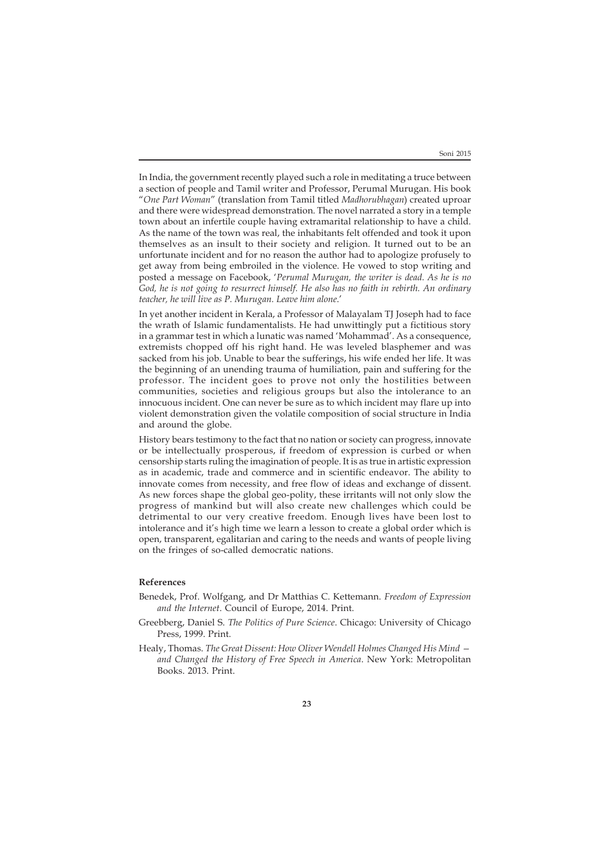In India, the government recently played such a role in meditating a truce between a section of people and Tamil writer and Professor, Perumal Murugan. His book "*One Part Woman*" (translation from Tamil titled *Madhorubhagan*) created uproar and there were widespread demonstration. The novel narrated a story in a temple town about an infertile couple having extramarital relationship to have a child. As the name of the town was real, the inhabitants felt offended and took it upon themselves as an insult to their society and religion. It turned out to be an unfortunate incident and for no reason the author had to apologize profusely to get away from being embroiled in the violence. He vowed to stop writing and posted a message on Facebook, '*Perumal Murugan, the writer is dead. As he is no God, he is not going to resurrect himself. He also has no faith in rebirth. An ordinary teacher, he will live as P. Murugan. Leave him alone*.'

In yet another incident in Kerala, a Professor of Malayalam TJ Joseph had to face the wrath of Islamic fundamentalists. He had unwittingly put a fictitious story in a grammar test in which a lunatic was named 'Mohammad'. As a consequence, extremists chopped off his right hand. He was leveled blasphemer and was sacked from his job. Unable to bear the sufferings, his wife ended her life. It was the beginning of an unending trauma of humiliation, pain and suffering for the professor. The incident goes to prove not only the hostilities between communities, societies and religious groups but also the intolerance to an innocuous incident. One can never be sure as to which incident may flare up into violent demonstration given the volatile composition of social structure in India and around the globe.

History bears testimony to the fact that no nation or society can progress, innovate or be intellectually prosperous, if freedom of expression is curbed or when censorship starts ruling the imagination of people. It is as true in artistic expression as in academic, trade and commerce and in scientific endeavor. The ability to innovate comes from necessity, and free flow of ideas and exchange of dissent. As new forces shape the global geo-polity, these irritants will not only slow the progress of mankind but will also create new challenges which could be detrimental to our very creative freedom. Enough lives have been lost to intolerance and it's high time we learn a lesson to create a global order which is open, transparent, egalitarian and caring to the needs and wants of people living on the fringes of so-called democratic nations.

## **References**

- Benedek, Prof. Wolfgang, and Dr Matthias C. Kettemann. *Freedom of Expression and the Internet*. Council of Europe, 2014. Print.
- Greebberg, Daniel S. *The Politics of Pure Science*. Chicago: University of Chicago Press, 1999. Print.
- Healy, Thomas. *The Great Dissent: How Oliver Wendell Holmes Changed His Mind and Changed the History of Free Speech in America*. New York: Metropolitan Books. 2013. Print.